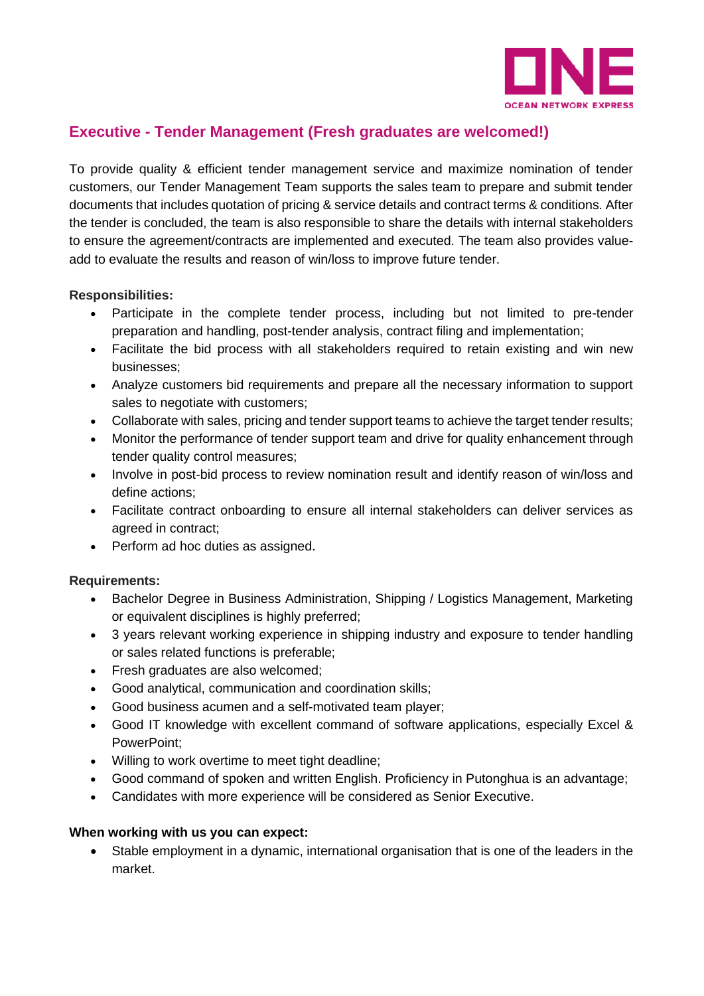

## **Executive - Tender Management (Fresh graduates are welcomed!)**

To provide quality & efficient tender management service and maximize nomination of tender customers, our Tender Management Team supports the sales team to prepare and submit tender documents that includes quotation of pricing & service details and contract terms & conditions. After the tender is concluded, the team is also responsible to share the details with internal stakeholders to ensure the agreement/contracts are implemented and executed. The team also provides valueadd to evaluate the results and reason of win/loss to improve future tender.

## **Responsibilities:**

- Participate in the complete tender process, including but not limited to pre-tender preparation and handling, post-tender analysis, contract filing and implementation;
- Facilitate the bid process with all stakeholders required to retain existing and win new businesses;
- Analyze customers bid requirements and prepare all the necessary information to support sales to negotiate with customers;
- Collaborate with sales, pricing and tender support teams to achieve the target tender results;
- Monitor the performance of tender support team and drive for quality enhancement through tender quality control measures;
- Involve in post-bid process to review nomination result and identify reason of win/loss and define actions;
- Facilitate contract onboarding to ensure all internal stakeholders can deliver services as agreed in contract;
- Perform ad hoc duties as assigned.

## **Requirements:**

- Bachelor Degree in Business Administration, Shipping / Logistics Management, Marketing or equivalent disciplines is highly preferred;
- 3 years relevant working experience in shipping industry and exposure to tender handling or sales related functions is preferable;
- Fresh graduates are also welcomed;
- Good analytical, communication and coordination skills;
- Good business acumen and a self-motivated team player;
- Good IT knowledge with excellent command of software applications, especially Excel & PowerPoint;
- Willing to work overtime to meet tight deadline;
- Good command of spoken and written English. Proficiency in Putonghua is an advantage;
- Candidates with more experience will be considered as Senior Executive.

## **When working with us you can expect:**

• Stable employment in a dynamic, international organisation that is one of the leaders in the market.